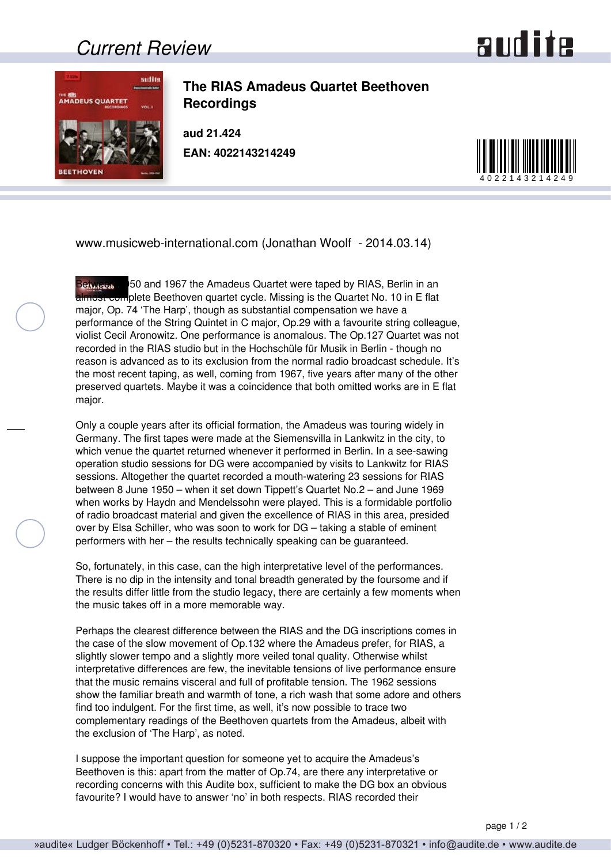## *Current Review*





**The RIAS Amadeus Quartet Beethoven Recordings**

**aud 21.424 EAN: 4022143214249**



www.musicweb-international.com (Jonathan Woolf - 2014.03.14)

Between 1950 and 1967 the Amadeus Quartet were taped by RIAS, Berlin in an almost-complete Beethoven quartet cycle. Missing is the Quartet No. 10 in E flat major, Op. 74 'The Harp', though as substantial compensation we have a performance of the String Quintet in C major, Op.29 with a favourite string colleague, violist Cecil Aronowitz. One performance is anomalous. The Op.127 Quartet was not recorded in the RIAS studio but in the Hochschüle für Musik in Berlin - though no reason is advanced as to its exclusion from the normal radio broadcast schedule. It's the most recent taping, as well, coming from 1967, five years after many of the other preserved quartets. Maybe it was a coincidence that both omitted works are in E flat major.

Only a couple years after its official formation, the Amadeus was touring widely in Germany. The first tapes were made at the Siemensvilla in Lankwitz in the city, to which venue the quartet returned whenever it performed in Berlin. In a see-sawing operation studio sessions for DG were accompanied by visits to Lankwitz for RIAS sessions. Altogether the quartet recorded a mouth-watering 23 sessions for RIAS between 8 June 1950 – when it set down Tippett's Quartet No.2 – and June 1969 when works by Haydn and Mendelssohn were played. This is a formidable portfolio of radio broadcast material and given the excellence of RIAS in this area, presided over by Elsa Schiller, who was soon to work for DG – taking a stable of eminent performers with her – the results technically speaking can be guaranteed.

So, fortunately, in this case, can the high interpretative level of the performances. There is no dip in the intensity and tonal breadth generated by the foursome and if the results differ little from the studio legacy, there are certainly a few moments when the music takes off in a more memorable way.

Perhaps the clearest difference between the RIAS and the DG inscriptions comes in the case of the slow movement of Op.132 where the Amadeus prefer, for RIAS, a slightly slower tempo and a slightly more veiled tonal quality. Otherwise whilst interpretative differences are few, the inevitable tensions of live performance ensure that the music remains visceral and full of profitable tension. The 1962 sessions show the familiar breath and warmth of tone, a rich wash that some adore and others find too indulgent. For the first time, as well, it's now possible to trace two complementary readings of the Beethoven quartets from the Amadeus, albeit with the exclusion of 'The Harp', as noted.

I suppose the important question for someone yet to acquire the Amadeus's Beethoven is this: apart from the matter of Op.74, are there any interpretative or recording concerns with this Audite box, sufficient to make the DG box an obvious favourite? I would have to answer 'no' in both respects. RIAS recorded their